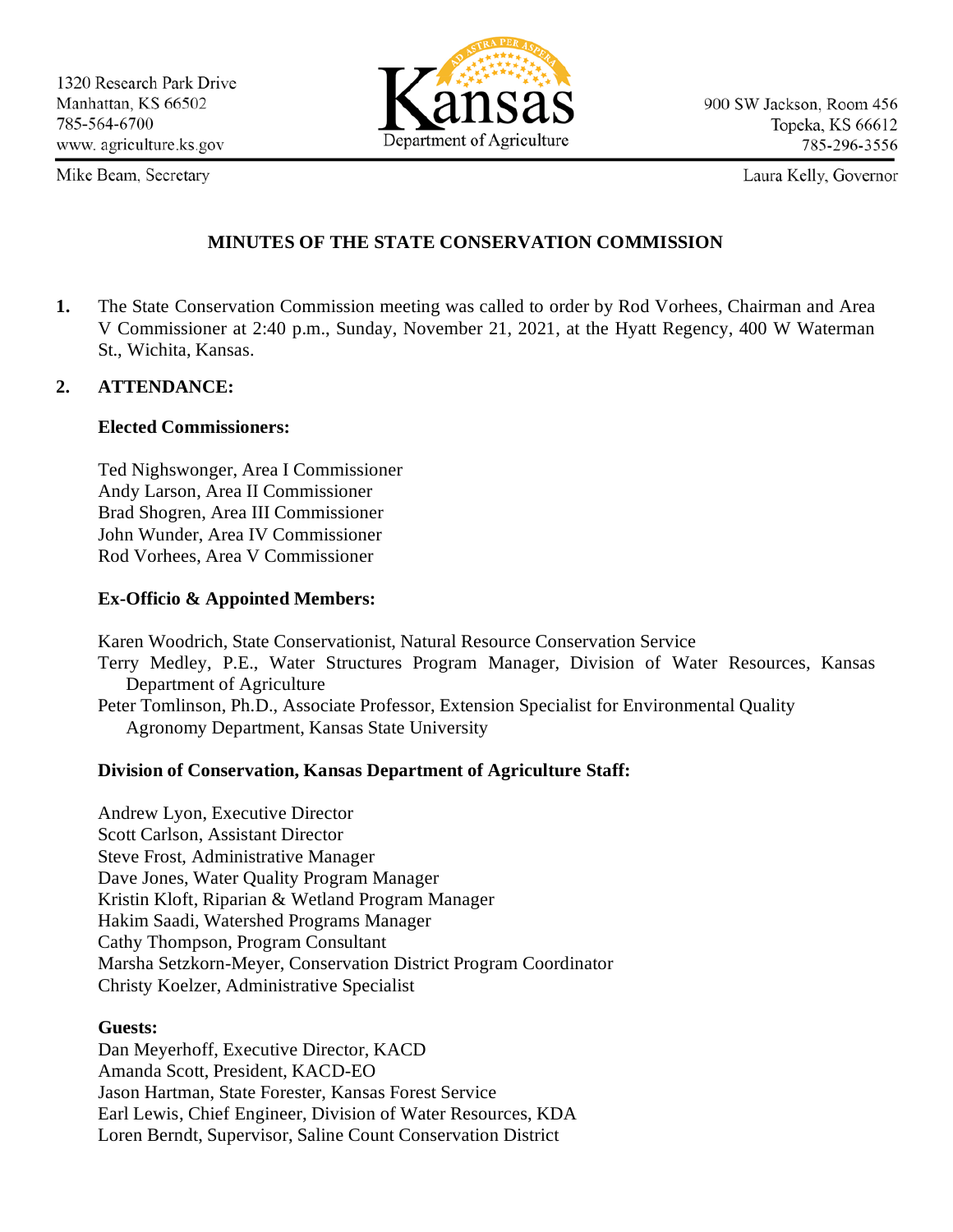Mike Beam, Secretary



Laura Kelly, Governor

### **MINUTES OF THE STATE CONSERVATION COMMISSION**

**1.** The State Conservation Commission meeting was called to order by Rod Vorhees, Chairman and Area V Commissioner at 2:40 p.m., Sunday, November 21, 2021, at the Hyatt Regency, 400 W Waterman St., Wichita, Kansas.

### **2. ATTENDANCE:**

### **Elected Commissioners:**

Ted Nighswonger, Area I Commissioner Andy Larson, Area II Commissioner Brad Shogren, Area III Commissioner John Wunder, Area IV Commissioner Rod Vorhees, Area V Commissioner

### **Ex-Officio & Appointed Members:**

Karen Woodrich, State Conservationist, Natural Resource Conservation Service Terry Medley, P.E., Water Structures Program Manager, Division of Water Resources, Kansas Department of Agriculture Peter Tomlinson, Ph.D., Associate Professor, Extension Specialist for Environmental Quality Agronomy Department, Kansas State University

### **Division of Conservation, Kansas Department of Agriculture Staff:**

Andrew Lyon, Executive Director Scott Carlson, Assistant Director Steve Frost, Administrative Manager Dave Jones, Water Quality Program Manager Kristin Kloft, Riparian & Wetland Program Manager Hakim Saadi, Watershed Programs Manager Cathy Thompson, Program Consultant Marsha Setzkorn-Meyer, Conservation District Program Coordinator Christy Koelzer, Administrative Specialist

### **Guests:**

Dan Meyerhoff, Executive Director, KACD Amanda Scott, President, KACD-EO Jason Hartman, State Forester, Kansas Forest Service Earl Lewis, Chief Engineer, Division of Water Resources, KDA Loren Berndt, Supervisor, Saline Count Conservation District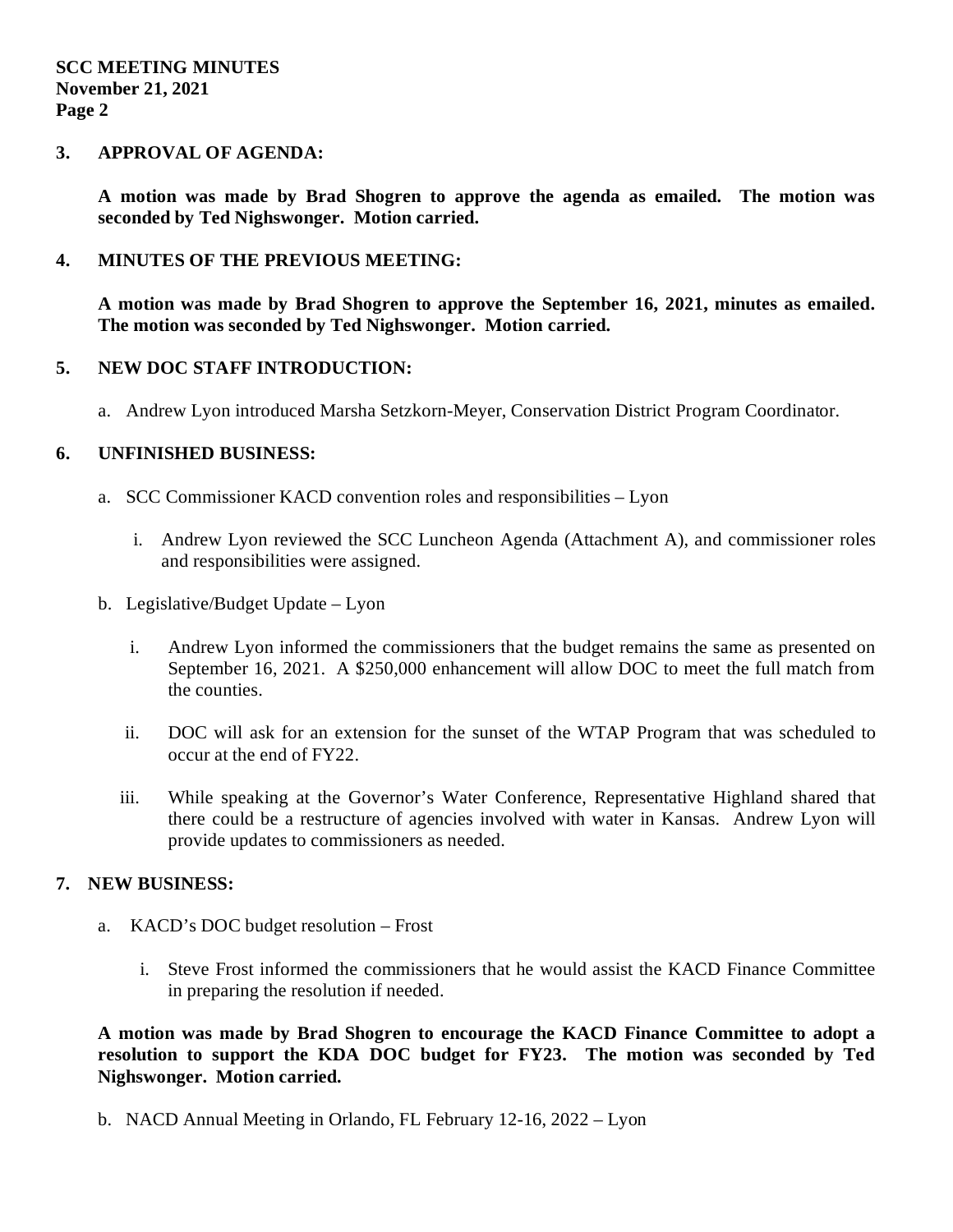#### **SCC MEETING MINUTES November 21, 2021 Page 2**

### **3. APPROVAL OF AGENDA:**

**A motion was made by Brad Shogren to approve the agenda as emailed. The motion was seconded by Ted Nighswonger. Motion carried.**

### **4. MINUTES OF THE PREVIOUS MEETING:**

**A motion was made by Brad Shogren to approve the September 16, 2021, minutes as emailed. The motion was seconded by Ted Nighswonger. Motion carried.**

### **5. NEW DOC STAFF INTRODUCTION:**

a. Andrew Lyon introduced Marsha Setzkorn-Meyer, Conservation District Program Coordinator.

### **6. UNFINISHED BUSINESS:**

- a. SCC Commissioner KACD convention roles and responsibilities Lyon
	- i. Andrew Lyon reviewed the SCC Luncheon Agenda (Attachment A), and commissioner roles and responsibilities were assigned.
- b. Legislative/Budget Update Lyon
	- i. Andrew Lyon informed the commissioners that the budget remains the same as presented on September 16, 2021. A \$250,000 enhancement will allow DOC to meet the full match from the counties.
	- ii. DOC will ask for an extension for the sunset of the WTAP Program that was scheduled to occur at the end of FY22.
	- iii. While speaking at the Governor's Water Conference, Representative Highland shared that there could be a restructure of agencies involved with water in Kansas. Andrew Lyon will provide updates to commissioners as needed.

### **7. NEW BUSINESS:**

- a. KACD's DOC budget resolution Frost
	- i. Steve Frost informed the commissioners that he would assist the KACD Finance Committee in preparing the resolution if needed.

**A motion was made by Brad Shogren to encourage the KACD Finance Committee to adopt a resolution to support the KDA DOC budget for FY23. The motion was seconded by Ted Nighswonger. Motion carried.**

b. NACD Annual Meeting in Orlando, FL February 12-16, 2022 – Lyon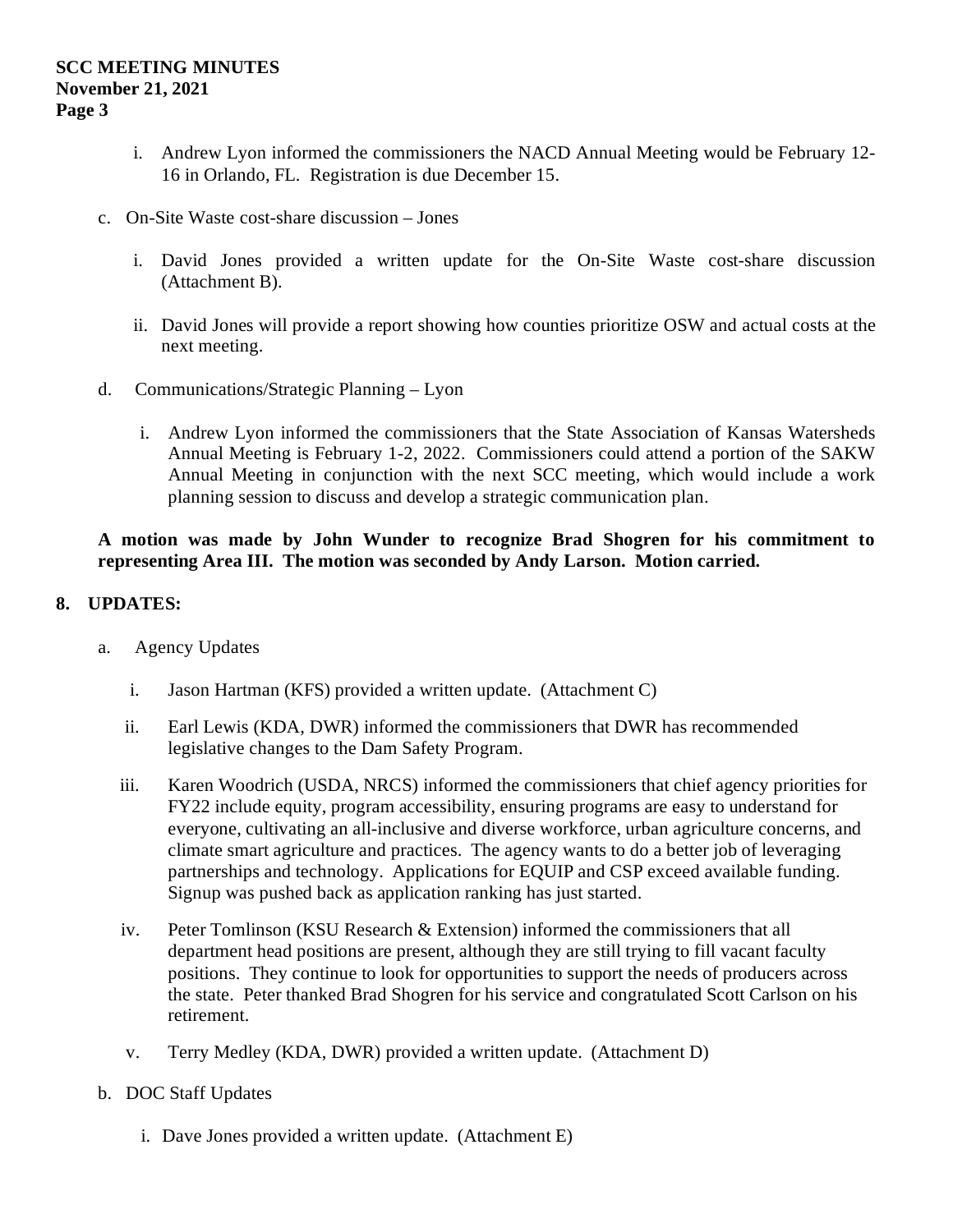- i. Andrew Lyon informed the commissioners the NACD Annual Meeting would be February 12- 16 in Orlando, FL. Registration is due December 15.
- c. On-Site Waste cost-share discussion Jones
	- i. David Jones provided a written update for the On-Site Waste cost-share discussion (Attachment B).
	- ii. David Jones will provide a report showing how counties prioritize OSW and actual costs at the next meeting.
- d. Communications/Strategic Planning Lyon
	- i. Andrew Lyon informed the commissioners that the State Association of Kansas Watersheds Annual Meeting is February 1-2, 2022. Commissioners could attend a portion of the SAKW Annual Meeting in conjunction with the next SCC meeting, which would include a work planning session to discuss and develop a strategic communication plan.

### **A motion was made by John Wunder to recognize Brad Shogren for his commitment to representing Area III. The motion was seconded by Andy Larson. Motion carried.**

### **8. UPDATES:**

- a. Agency Updates
	- i. Jason Hartman (KFS) provided a written update. (Attachment C)
	- ii. Earl Lewis (KDA, DWR) informed the commissioners that DWR has recommended legislative changes to the Dam Safety Program.
	- iii. Karen Woodrich (USDA, NRCS) informed the commissioners that chief agency priorities for FY22 include equity, program accessibility, ensuring programs are easy to understand for everyone, cultivating an all-inclusive and diverse workforce, urban agriculture concerns, and climate smart agriculture and practices. The agency wants to do a better job of leveraging partnerships and technology. Applications for EQUIP and CSP exceed available funding. Signup was pushed back as application ranking has just started.
	- iv. Peter Tomlinson (KSU Research & Extension) informed the commissioners that all department head positions are present, although they are still trying to fill vacant faculty positions. They continue to look for opportunities to support the needs of producers across the state. Peter thanked Brad Shogren for his service and congratulated Scott Carlson on his retirement.
	- v. Terry Medley (KDA, DWR) provided a written update. (Attachment D)
- b. DOC Staff Updates
	- i. Dave Jones provided a written update. (Attachment E)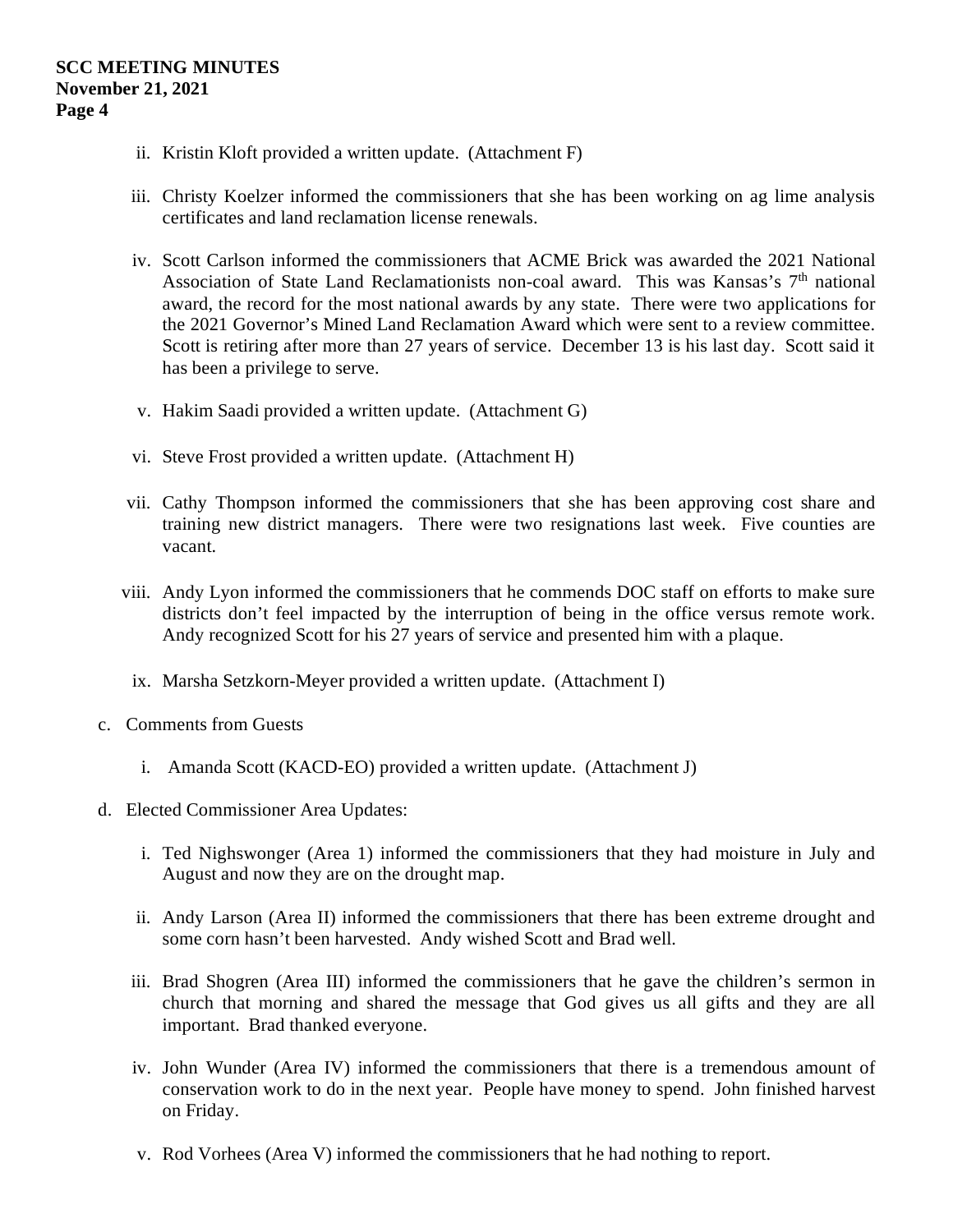- ii. Kristin Kloft provided a written update. (Attachment F)
- iii. Christy Koelzer informed the commissioners that she has been working on ag lime analysis certificates and land reclamation license renewals.
- iv. Scott Carlson informed the commissioners that ACME Brick was awarded the 2021 National Association of State Land Reclamationists non-coal award. This was Kansas's 7<sup>th</sup> national award, the record for the most national awards by any state. There were two applications for the 2021 Governor's Mined Land Reclamation Award which were sent to a review committee. Scott is retiring after more than 27 years of service. December 13 is his last day. Scott said it has been a privilege to serve.
- v. Hakim Saadi provided a written update. (Attachment G)
- vi. Steve Frost provided a written update. (Attachment H)
- vii. Cathy Thompson informed the commissioners that she has been approving cost share and training new district managers. There were two resignations last week. Five counties are vacant.
- viii. Andy Lyon informed the commissioners that he commends DOC staff on efforts to make sure districts don't feel impacted by the interruption of being in the office versus remote work. Andy recognized Scott for his 27 years of service and presented him with a plaque.
	- ix. Marsha Setzkorn-Meyer provided a written update. (Attachment I)
- c. Comments from Guests
	- i. Amanda Scott (KACD-EO) provided a written update. (Attachment J)
- d. Elected Commissioner Area Updates:
	- i. Ted Nighswonger (Area 1) informed the commissioners that they had moisture in July and August and now they are on the drought map.
	- ii. Andy Larson (Area II) informed the commissioners that there has been extreme drought and some corn hasn't been harvested. Andy wished Scott and Brad well.
	- iii. Brad Shogren (Area III) informed the commissioners that he gave the children's sermon in church that morning and shared the message that God gives us all gifts and they are all important. Brad thanked everyone.
	- iv. John Wunder (Area IV) informed the commissioners that there is a tremendous amount of conservation work to do in the next year. People have money to spend. John finished harvest on Friday.
	- v. Rod Vorhees (Area V) informed the commissioners that he had nothing to report.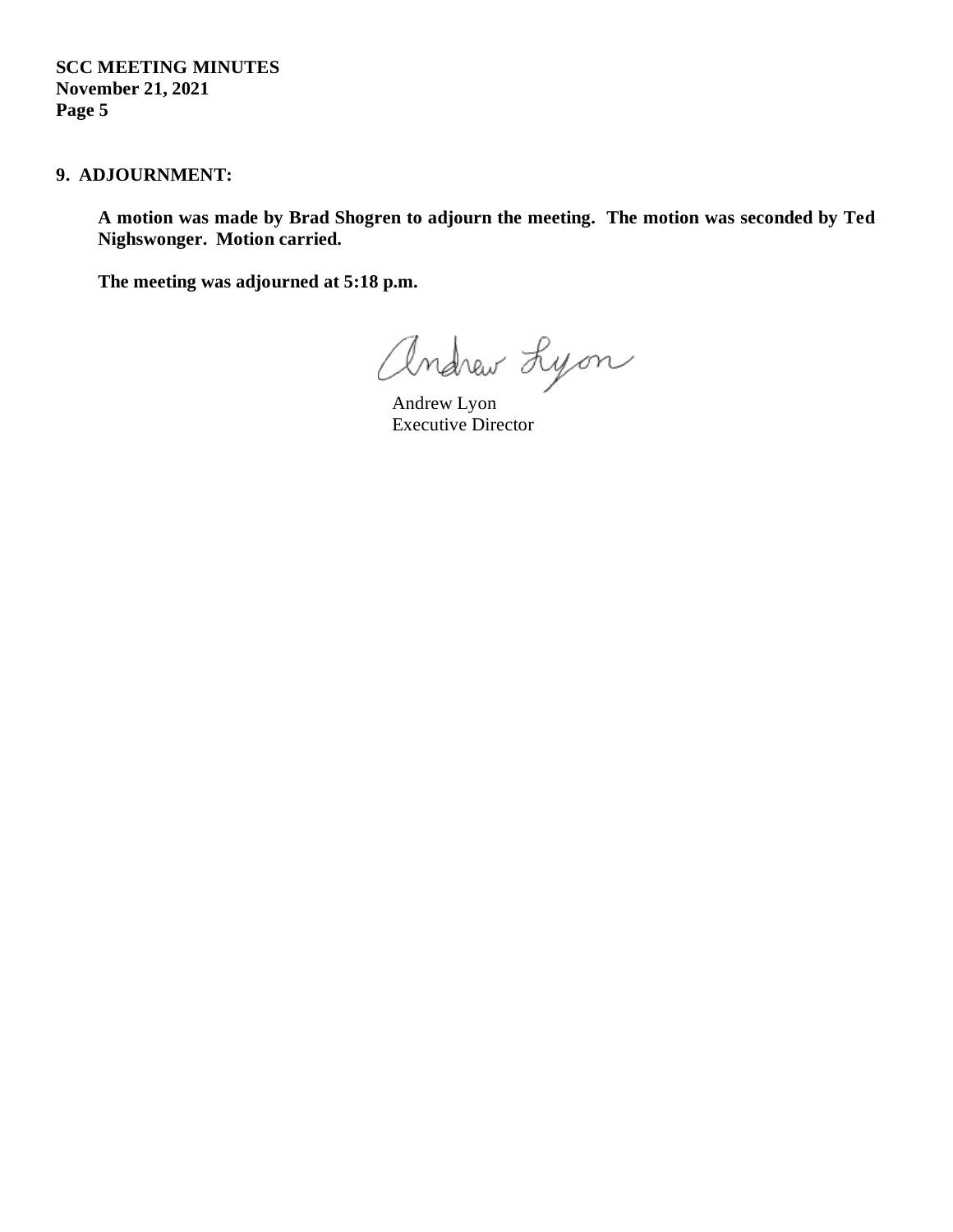**SCC MEETING MINUTES November 21, 2021 Page 5**

### **9. ADJOURNMENT:**

**A motion was made by Brad Shogren to adjourn the meeting. The motion was seconded by Ted Nighswonger. Motion carried.** 

**The meeting was adjourned at 5:18 p.m.**

andrew Lyon

Executive Director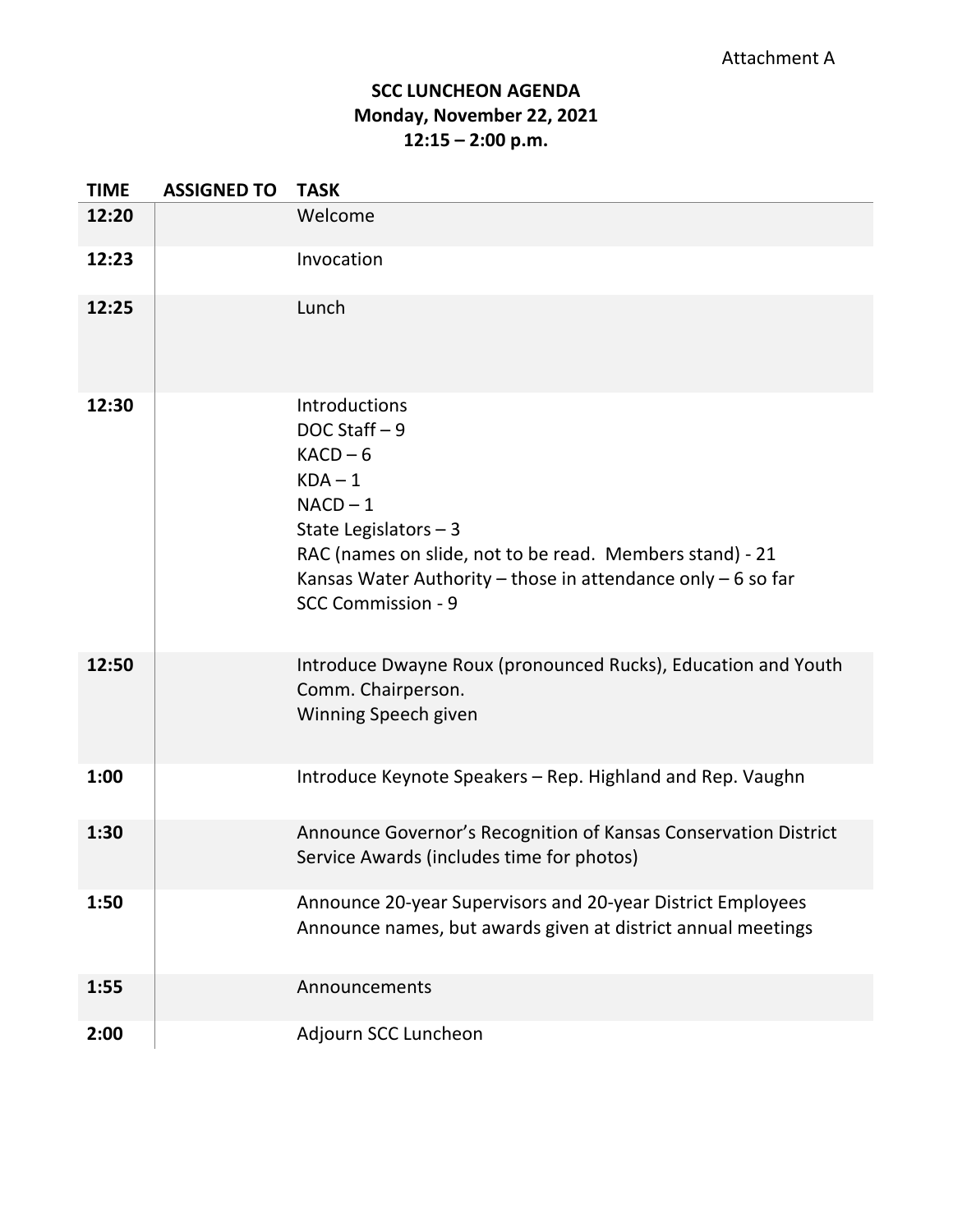## **SCC LUNCHEON AGENDA Monday, November 22, 2021 12:15 – 2:00 p.m.**

| <b>TIME</b> | <b>ASSIGNED TO</b> | <b>TASK</b>                                                                                                                                                                                                                                                      |
|-------------|--------------------|------------------------------------------------------------------------------------------------------------------------------------------------------------------------------------------------------------------------------------------------------------------|
| 12:20       |                    | Welcome                                                                                                                                                                                                                                                          |
| 12:23       |                    | Invocation                                                                                                                                                                                                                                                       |
| 12:25       |                    | Lunch                                                                                                                                                                                                                                                            |
| 12:30       |                    | <b>Introductions</b><br>DOC Staff - 9<br>$KACD - 6$<br>$KDA-1$<br>$NACD - 1$<br>State Legislators $-3$<br>RAC (names on slide, not to be read. Members stand) - 21<br>Kansas Water Authority – those in attendance only $-6$ so far<br><b>SCC Commission - 9</b> |
| 12:50       |                    | Introduce Dwayne Roux (pronounced Rucks), Education and Youth<br>Comm. Chairperson.<br>Winning Speech given                                                                                                                                                      |
| 1:00        |                    | Introduce Keynote Speakers - Rep. Highland and Rep. Vaughn                                                                                                                                                                                                       |
| 1:30        |                    | Announce Governor's Recognition of Kansas Conservation District<br>Service Awards (includes time for photos)                                                                                                                                                     |
| 1:50        |                    | Announce 20-year Supervisors and 20-year District Employees<br>Announce names, but awards given at district annual meetings                                                                                                                                      |
| 1:55        |                    | Announcements                                                                                                                                                                                                                                                    |
| 2:00        |                    | Adjourn SCC Luncheon                                                                                                                                                                                                                                             |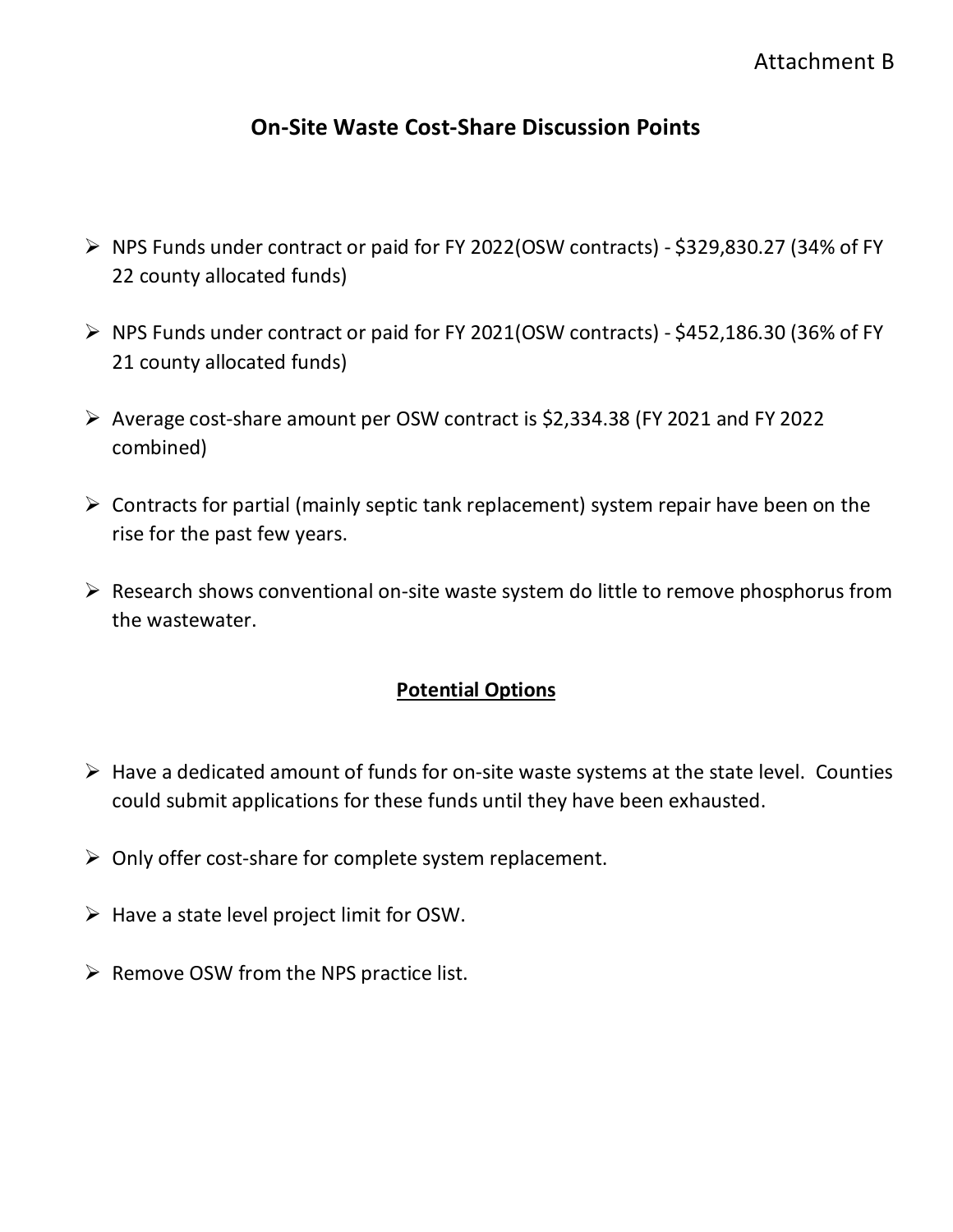## **On-Site Waste Cost-Share Discussion Points**

- NPS Funds under contract or paid for FY 2022(OSW contracts) \$329,830.27 (34% of FY 22 county allocated funds)
- $\triangleright$  NPS Funds under contract or paid for FY 2021(OSW contracts) \$452,186.30 (36% of FY 21 county allocated funds)
- Average cost-share amount per OSW contract is \$2,334.38 (FY 2021 and FY 2022 combined)
- $\triangleright$  Contracts for partial (mainly septic tank replacement) system repair have been on the rise for the past few years.
- $\triangleright$  Research shows conventional on-site waste system do little to remove phosphorus from the wastewater.

### **Potential Options**

- $\triangleright$  Have a dedicated amount of funds for on-site waste systems at the state level. Counties could submit applications for these funds until they have been exhausted.
- $\triangleright$  Only offer cost-share for complete system replacement.
- $\triangleright$  Have a state level project limit for OSW.
- $\triangleright$  Remove OSW from the NPS practice list.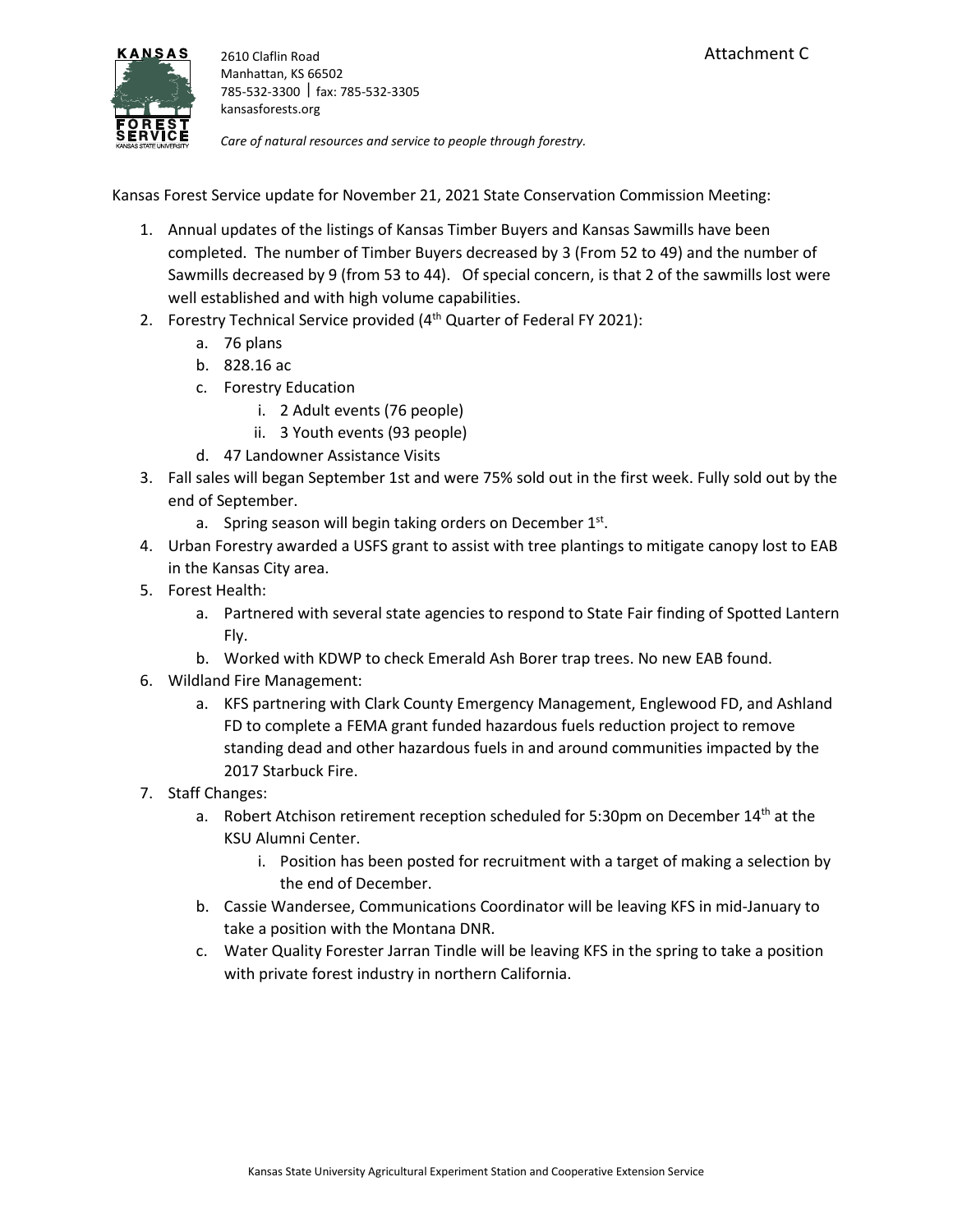

*Care of natural resources and service to people through forestry.*

Kansas Forest Service update for November 21, 2021 State Conservation Commission Meeting:

- 1. Annual updates of the listings of Kansas Timber Buyers and Kansas Sawmills have been completed. The number of Timber Buyers decreased by 3 (From 52 to 49) and the number of Sawmills decreased by 9 (from 53 to 44). Of special concern, is that 2 of the sawmills lost were well established and with high volume capabilities.
- 2. Forestry Technical Service provided  $(4<sup>th</sup>$  Quarter of Federal FY 2021):
	- a. 76 plans
	- b. 828.16 ac
	- c. Forestry Education
		- i. 2 Adult events (76 people)
		- ii. 3 Youth events (93 people)
	- d. 47 Landowner Assistance Visits
- 3. Fall sales will began September 1st and were 75% sold out in the first week. Fully sold out by the end of September.
	- a. Spring season will begin taking orders on December  $1<sup>st</sup>$ .
- 4. Urban Forestry awarded a USFS grant to assist with tree plantings to mitigate canopy lost to EAB in the Kansas City area.
- 5. Forest Health:
	- a. Partnered with several state agencies to respond to State Fair finding of Spotted Lantern Fly.
	- b. Worked with KDWP to check Emerald Ash Borer trap trees. No new EAB found.
- 6. Wildland Fire Management:
	- a. KFS partnering with Clark County Emergency Management, Englewood FD, and Ashland FD to complete a FEMA grant funded hazardous fuels reduction project to remove standing dead and other hazardous fuels in and around communities impacted by the 2017 Starbuck Fire.
- 7. Staff Changes:
	- a. Robert Atchison retirement reception scheduled for 5:30pm on December  $14<sup>th</sup>$  at the KSU Alumni Center.
		- i. Position has been posted for recruitment with a target of making a selection by the end of December.
	- b. Cassie Wandersee, Communications Coordinator will be leaving KFS in mid-January to take a position with the Montana DNR.
	- c. Water Quality Forester Jarran Tindle will be leaving KFS in the spring to take a position with private forest industry in northern California.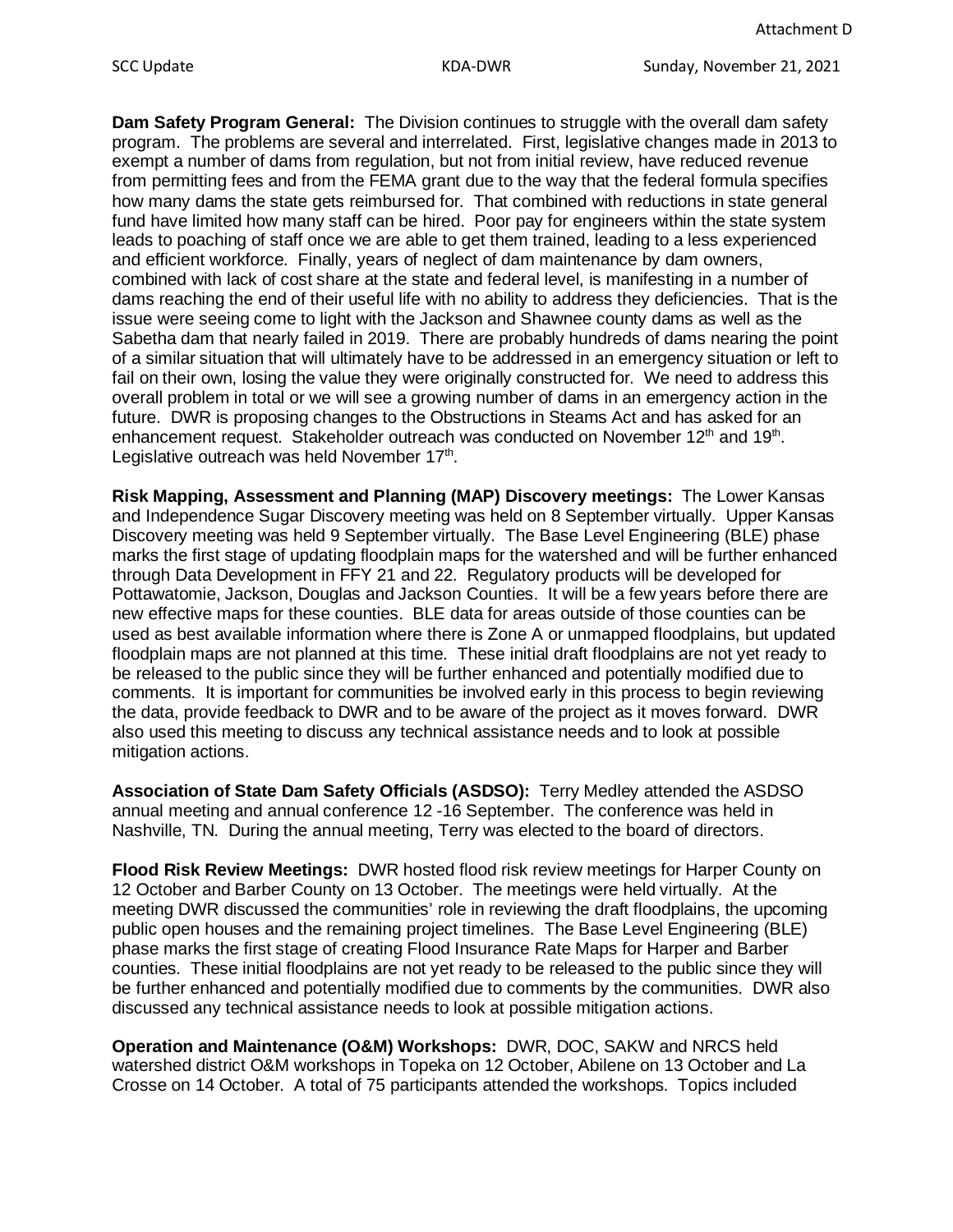**Dam Safety Program General:** The Division continues to struggle with the overall dam safety program. The problems are several and interrelated. First, legislative changes made in 2013 to exempt a number of dams from regulation, but not from initial review, have reduced revenue from permitting fees and from the FEMA grant due to the way that the federal formula specifies how many dams the state gets reimbursed for. That combined with reductions in state general fund have limited how many staff can be hired. Poor pay for engineers within the state system leads to poaching of staff once we are able to get them trained, leading to a less experienced and efficient workforce. Finally, years of neglect of dam maintenance by dam owners, combined with lack of cost share at the state and federal level, is manifesting in a number of dams reaching the end of their useful life with no ability to address they deficiencies. That is the issue were seeing come to light with the Jackson and Shawnee county dams as well as the Sabetha dam that nearly failed in 2019. There are probably hundreds of dams nearing the point of a similar situation that will ultimately have to be addressed in an emergency situation or left to fail on their own, losing the value they were originally constructed for. We need to address this overall problem in total or we will see a growing number of dams in an emergency action in the future. DWR is proposing changes to the Obstructions in Steams Act and has asked for an enhancement request. Stakeholder outreach was conducted on November 12<sup>th</sup> and 19<sup>th</sup>. Legislative outreach was held November 17<sup>th</sup>.

**Risk Mapping, Assessment and Planning (MAP) Discovery meetings:** The Lower Kansas and Independence Sugar Discovery meeting was held on 8 September virtually. Upper Kansas Discovery meeting was held 9 September virtually. The Base Level Engineering (BLE) phase marks the first stage of updating floodplain maps for the watershed and will be further enhanced through Data Development in FFY 21 and 22. Regulatory products will be developed for Pottawatomie, Jackson, Douglas and Jackson Counties. It will be a few years before there are new effective maps for these counties. BLE data for areas outside of those counties can be used as best available information where there is Zone A or unmapped floodplains, but updated floodplain maps are not planned at this time. These initial draft floodplains are not yet ready to be released to the public since they will be further enhanced and potentially modified due to comments. It is important for communities be involved early in this process to begin reviewing the data, provide feedback to DWR and to be aware of the project as it moves forward. DWR also used this meeting to discuss any technical assistance needs and to look at possible mitigation actions.

**Association of State Dam Safety Officials (ASDSO):** Terry Medley attended the ASDSO annual meeting and annual conference 12 -16 September. The conference was held in Nashville, TN. During the annual meeting, Terry was elected to the board of directors.

**Flood Risk Review Meetings:** DWR hosted flood risk review meetings for Harper County on 12 October and Barber County on 13 October. The meetings were held virtually. At the meeting DWR discussed the communities' role in reviewing the draft floodplains, the upcoming public open houses and the remaining project timelines. The Base Level Engineering (BLE) phase marks the first stage of creating Flood Insurance Rate Maps for Harper and Barber counties. These initial floodplains are not yet ready to be released to the public since they will be further enhanced and potentially modified due to comments by the communities. DWR also discussed any technical assistance needs to look at possible mitigation actions.

**Operation and Maintenance (O&M) Workshops:** DWR, DOC, SAKW and NRCS held watershed district O&M workshops in Topeka on 12 October, Abilene on 13 October and La Crosse on 14 October. A total of 75 participants attended the workshops. Topics included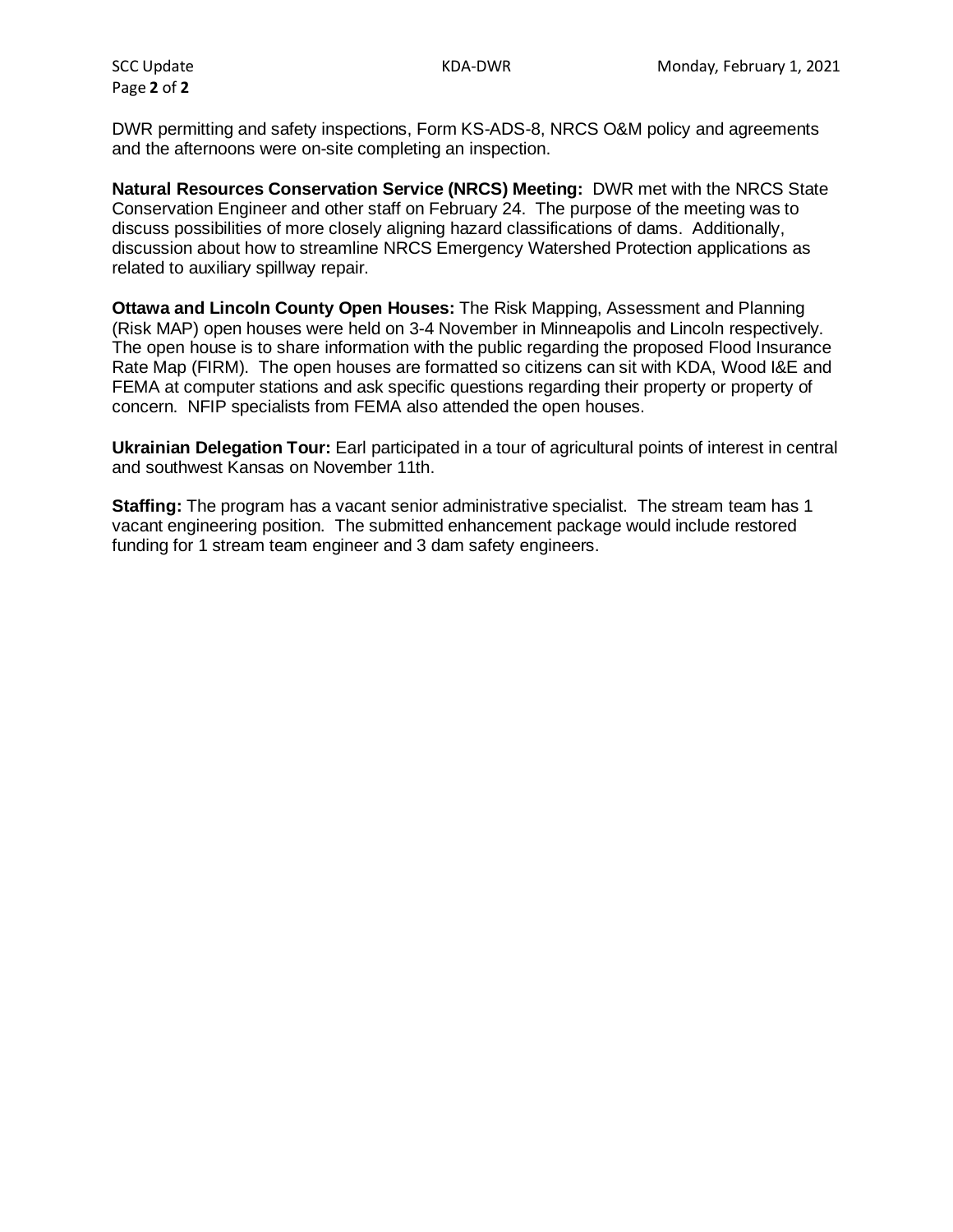Page **2** of **2**

DWR permitting and safety inspections, Form KS-ADS-8, NRCS O&M policy and agreements and the afternoons were on-site completing an inspection.

**Natural Resources Conservation Service (NRCS) Meeting:** DWR met with the NRCS State Conservation Engineer and other staff on February 24. The purpose of the meeting was to discuss possibilities of more closely aligning hazard classifications of dams. Additionally, discussion about how to streamline NRCS Emergency Watershed Protection applications as related to auxiliary spillway repair.

**Ottawa and Lincoln County Open Houses:** The Risk Mapping, Assessment and Planning (Risk MAP) open houses were held on 3-4 November in Minneapolis and Lincoln respectively. The open house is to share information with the public regarding the proposed Flood Insurance Rate Map (FIRM). The open houses are formatted so citizens can sit with KDA, Wood I&E and FEMA at computer stations and ask specific questions regarding their property or property of concern. NFIP specialists from FEMA also attended the open houses.

**Ukrainian Delegation Tour:** Earl participated in a tour of agricultural points of interest in central and southwest Kansas on November 11th.

**Staffing:** The program has a vacant senior administrative specialist. The stream team has 1 vacant engineering position. The submitted enhancement package would include restored funding for 1 stream team engineer and 3 dam safety engineers.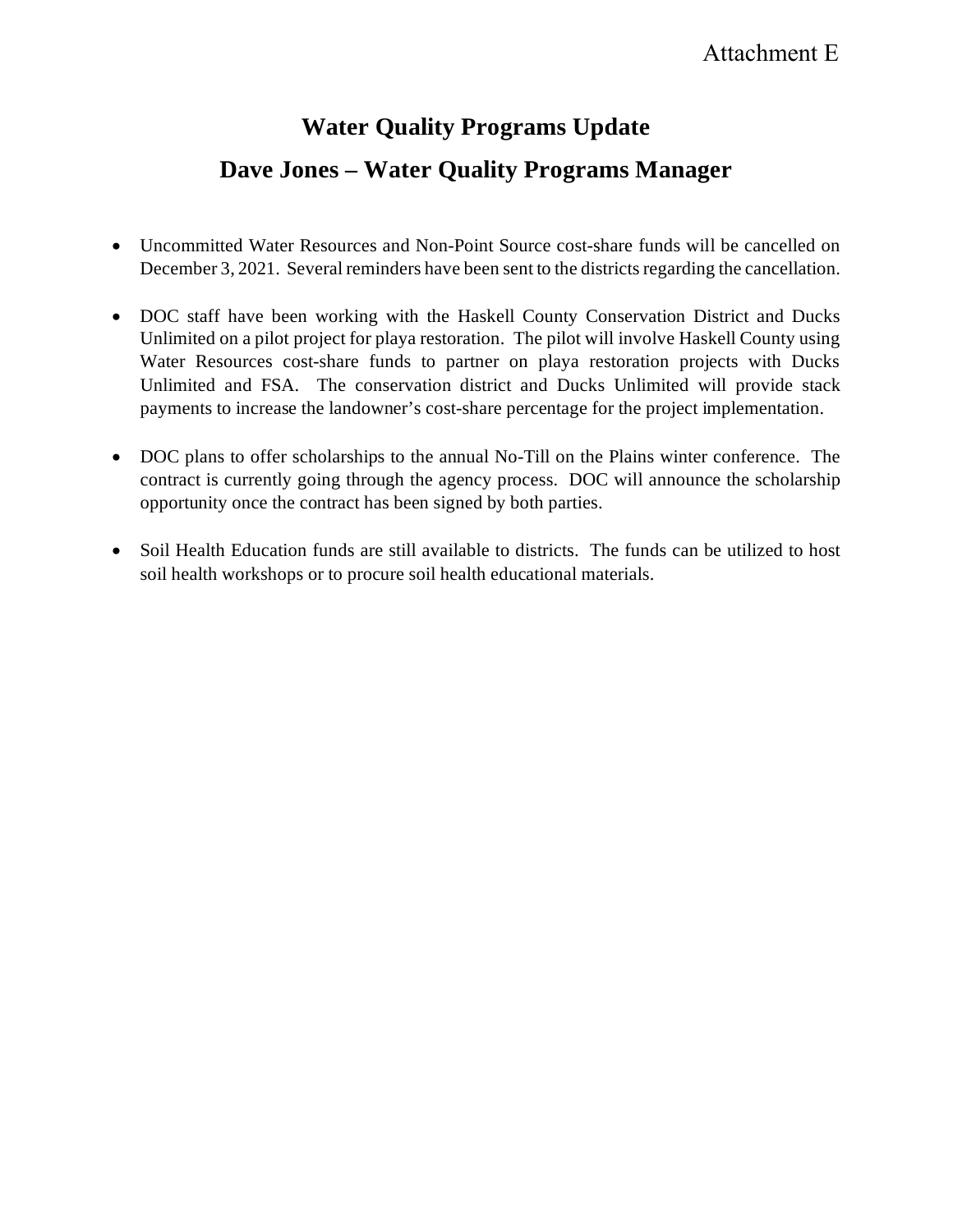## Attachment E

# **Water Quality Programs Update Dave Jones – Water Quality Programs Manager**

- Uncommitted Water Resources and Non-Point Source cost-share funds will be cancelled on December 3, 2021. Several reminders have been sent to the districts regarding the cancellation.
- DOC staff have been working with the Haskell County Conservation District and Ducks Unlimited on a pilot project for playa restoration. The pilot will involve Haskell County using Water Resources cost-share funds to partner on playa restoration projects with Ducks Unlimited and FSA. The conservation district and Ducks Unlimited will provide stack payments to increase the landowner's cost-share percentage for the project implementation.
- DOC plans to offer scholarships to the annual No-Till on the Plains winter conference. The contract is currently going through the agency process. DOC will announce the scholarship opportunity once the contract has been signed by both parties.
- Soil Health Education funds are still available to districts. The funds can be utilized to host soil health workshops or to procure soil health educational materials.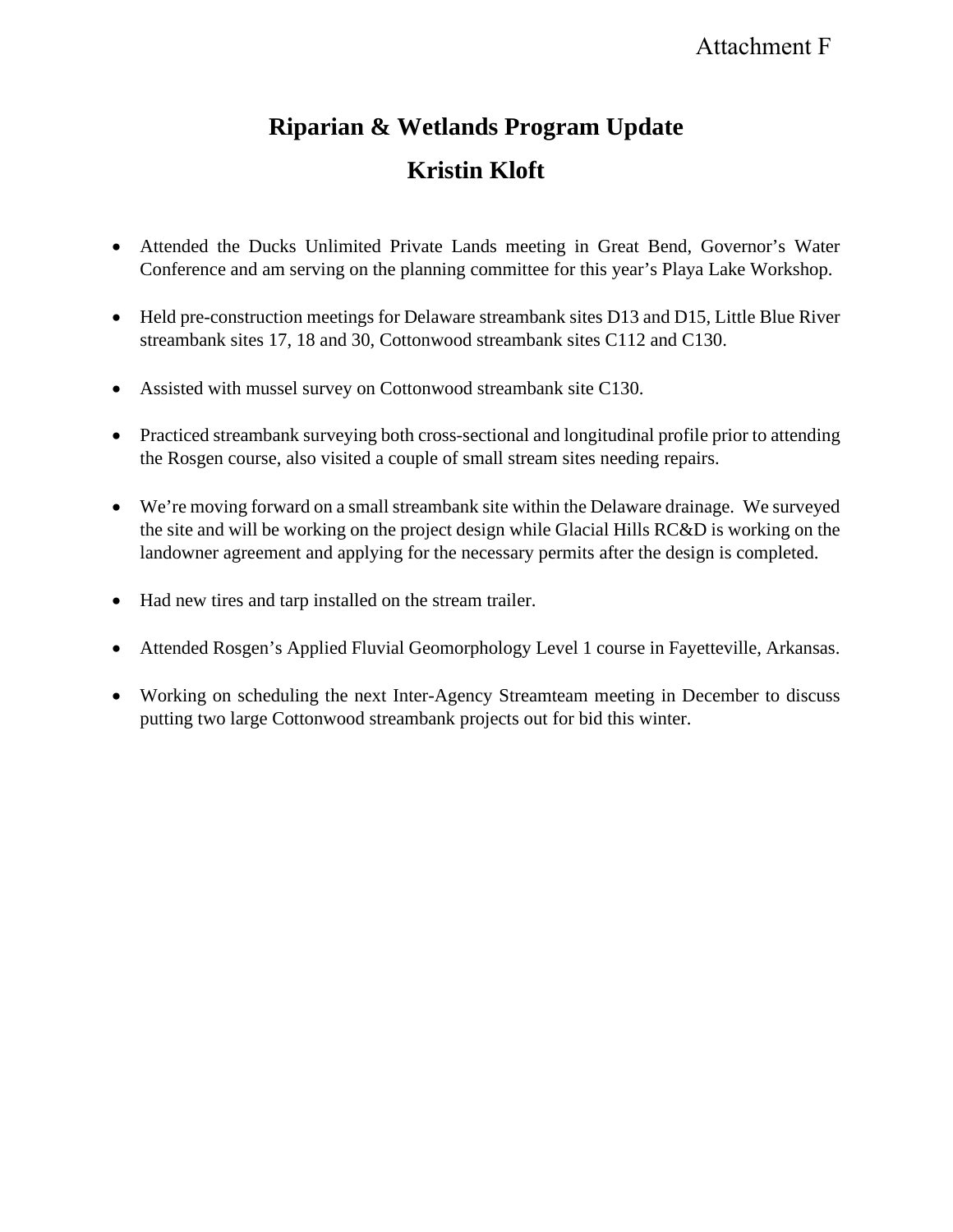# **Riparian & Wetlands Program Update Kristin Kloft**

- Attended the Ducks Unlimited Private Lands meeting in Great Bend, Governor's Water Conference and am serving on the planning committee for this year's Playa Lake Workshop.
- Held pre-construction meetings for Delaware streambank sites D13 and D15, Little Blue River streambank sites 17, 18 and 30, Cottonwood streambank sites C112 and C130.
- Assisted with mussel survey on Cottonwood streambank site C130.
- Practiced streambank surveying both cross-sectional and longitudinal profile prior to attending the Rosgen course, also visited a couple of small stream sites needing repairs.
- We're moving forward on a small streambank site within the Delaware drainage. We surveyed the site and will be working on the project design while Glacial Hills RC&D is working on the landowner agreement and applying for the necessary permits after the design is completed.
- Had new tires and tarp installed on the stream trailer.
- Attended Rosgen's Applied Fluvial Geomorphology Level 1 course in Fayetteville, Arkansas.
- Working on scheduling the next Inter-Agency Streamteam meeting in December to discuss putting two large Cottonwood streambank projects out for bid this winter.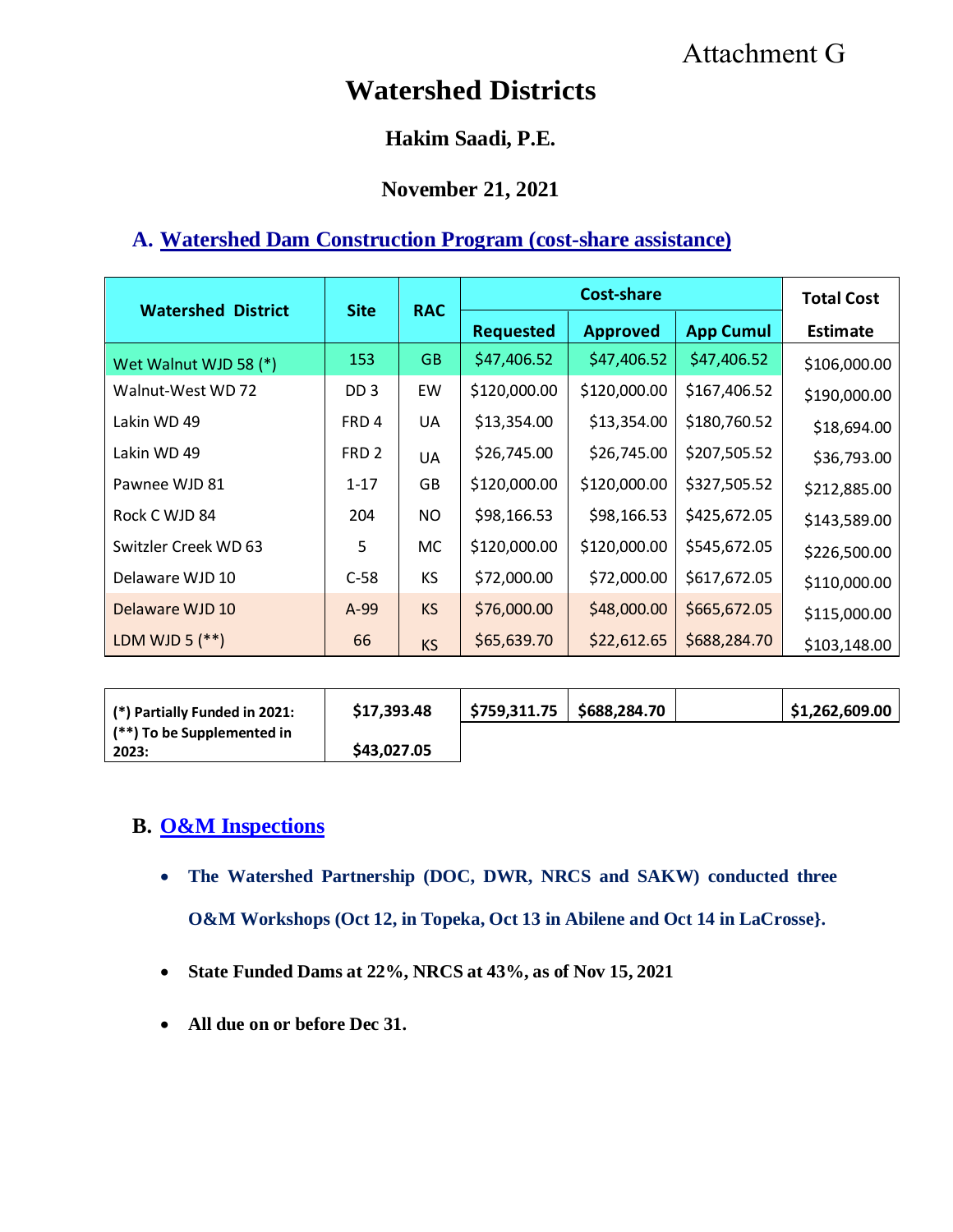# Attachment G

# **Watershed Districts**

## **Hakim Saadi, P.E.**

### **November 21, 2021**

## **A. Watershed Dam Construction Program (cost-share assistance)**

| <b>Watershed District</b> | <b>Site</b>      | <b>RAC</b> | <b>Cost-share</b> |                 |                  | <b>Total Cost</b> |
|---------------------------|------------------|------------|-------------------|-----------------|------------------|-------------------|
|                           |                  |            | <b>Requested</b>  | <b>Approved</b> | <b>App Cumul</b> | <b>Estimate</b>   |
| Wet Walnut WJD 58 (*)     | 153              | <b>GB</b>  | \$47,406.52       | \$47,406.52     | \$47,406.52      | \$106,000.00      |
| Walnut-West WD 72         | DD <sub>3</sub>  | EW         | \$120,000.00      | \$120,000.00    | \$167,406.52     | \$190,000.00      |
| Lakin WD 49               | FRD4             | UA         | \$13,354.00       | \$13,354.00     | \$180,760.52     | \$18,694.00       |
| Lakin WD 49               | FRD <sub>2</sub> | <b>UA</b>  | \$26,745.00       | \$26,745.00     | \$207,505.52     | \$36,793.00       |
| Pawnee WJD 81             | $1 - 17$         | GB         | \$120,000.00      | \$120,000.00    | \$327,505.52     | \$212,885.00      |
| Rock C WJD 84             | 204              | NO.        | \$98,166.53       | \$98,166.53     | \$425,672.05     | \$143,589.00      |
| Switzler Creek WD 63      | 5                | <b>MC</b>  | \$120,000.00      | \$120,000.00    | \$545,672.05     | \$226,500.00      |
| Delaware WJD 10           | $C-58$           | <b>KS</b>  | \$72,000.00       | \$72,000.00     | \$617,672.05     | \$110,000.00      |
| Delaware WJD 10           | $A-99$           | <b>KS</b>  | \$76,000.00       | \$48,000.00     | \$665,672.05     | \$115,000.00      |
| LDM WJD 5 $(**)$          | 66               | <b>KS</b>  | \$65,639.70       | \$22,612.65     | \$688,284.70     | \$103,148.00      |

| (*) Partially Funded in 2021:     | \$17,393.48 | \$759,311.75 | \$688,284.70 | \$1,262,609.00 |
|-----------------------------------|-------------|--------------|--------------|----------------|
| $\mid$ (**) To be Supplemented in |             |              |              |                |
| 2023:                             | \$43,027.05 |              |              |                |

## **B. O&M Inspections**

- **The Watershed Partnership (DOC, DWR, NRCS and SAKW) conducted three O&M Workshops (Oct 12, in Topeka, Oct 13 in Abilene and Oct 14 in LaCrosse}.**
- **State Funded Dams at 22%, NRCS at 43%, as of Nov 15, 2021**
- **All due on or before Dec 31.**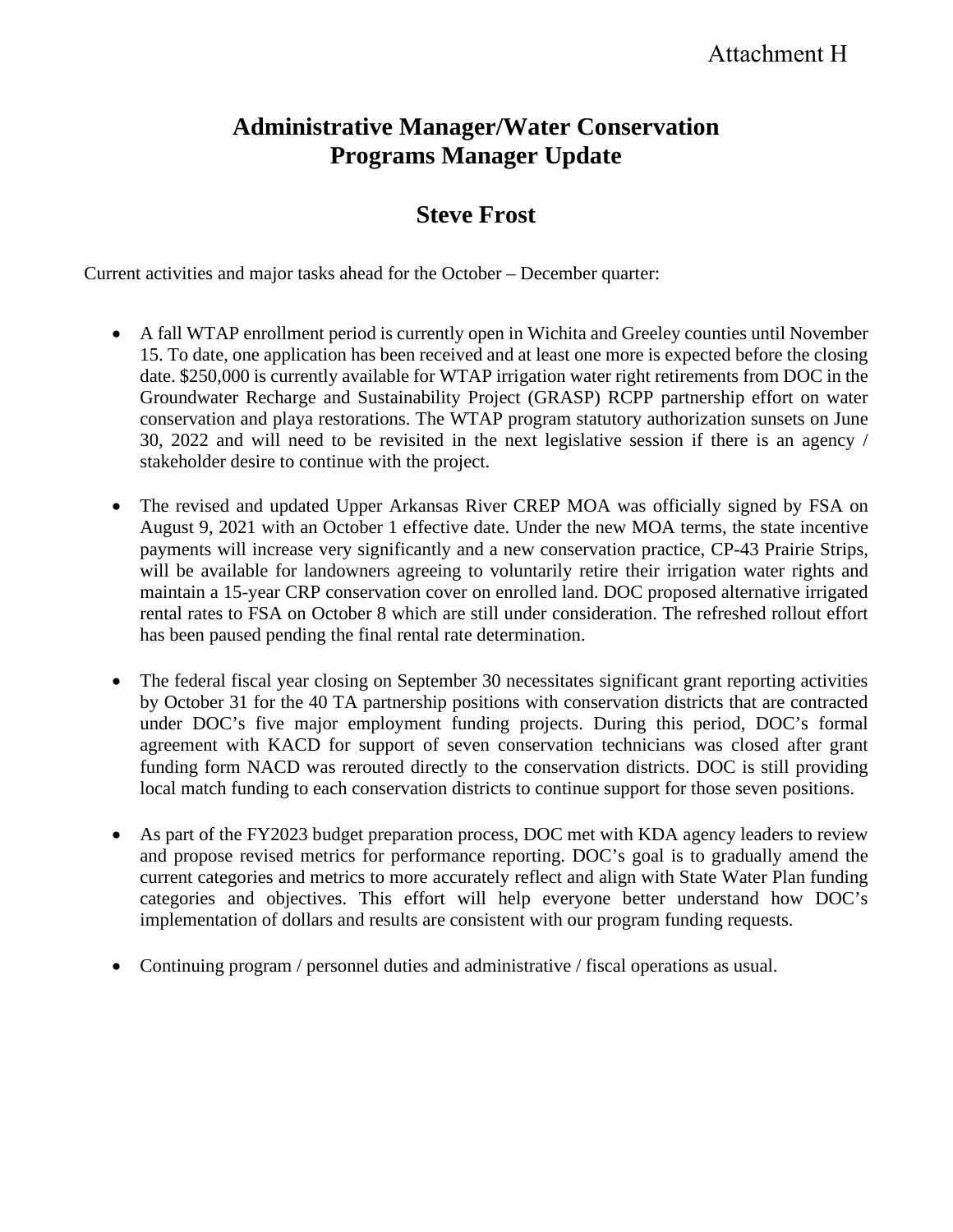# **Administrative Manager/Water Conservation Programs Manager Update**

## **Steve Frost**

Current activities and major tasks ahead for the October – December quarter:

- A fall WTAP enrollment period is currently open in Wichita and Greeley counties until November 15. To date, one application has been received and at least one more is expected before the closing date. \$250,000 is currently available for WTAP irrigation water right retirements from DOC in the Groundwater Recharge and Sustainability Project (GRASP) RCPP partnership effort on water conservation and playa restorations. The WTAP program statutory authorization sunsets on June 30, 2022 and will need to be revisited in the next legislative session if there is an agency / stakeholder desire to continue with the project.
- The revised and updated Upper Arkansas River CREP MOA was officially signed by FSA on August 9, 2021 with an October 1 effective date. Under the new MOA terms, the state incentive payments will increase very significantly and a new conservation practice, CP-43 Prairie Strips, will be available for landowners agreeing to voluntarily retire their irrigation water rights and maintain a 15-year CRP conservation cover on enrolled land. DOC proposed alternative irrigated rental rates to FSA on October 8 which are still under consideration. The refreshed rollout effort has been paused pending the final rental rate determination.
- The federal fiscal year closing on September 30 necessitates significant grant reporting activities by October 31 for the 40 TA partnership positions with conservation districts that are contracted under DOC's five major employment funding projects. During this period, DOC's formal agreement with KACD for support of seven conservation technicians was closed after grant funding form NACD was rerouted directly to the conservation districts. DOC is still providing local match funding to each conservation districts to continue support for those seven positions.
- As part of the FY2023 budget preparation process, DOC met with KDA agency leaders to review and propose revised metrics for performance reporting. DOC's goal is to gradually amend the current categories and metrics to more accurately reflect and align with State Water Plan funding categories and objectives. This effort will help everyone better understand how DOC's implementation of dollars and results are consistent with our program funding requests.
- Continuing program / personnel duties and administrative / fiscal operations as usual.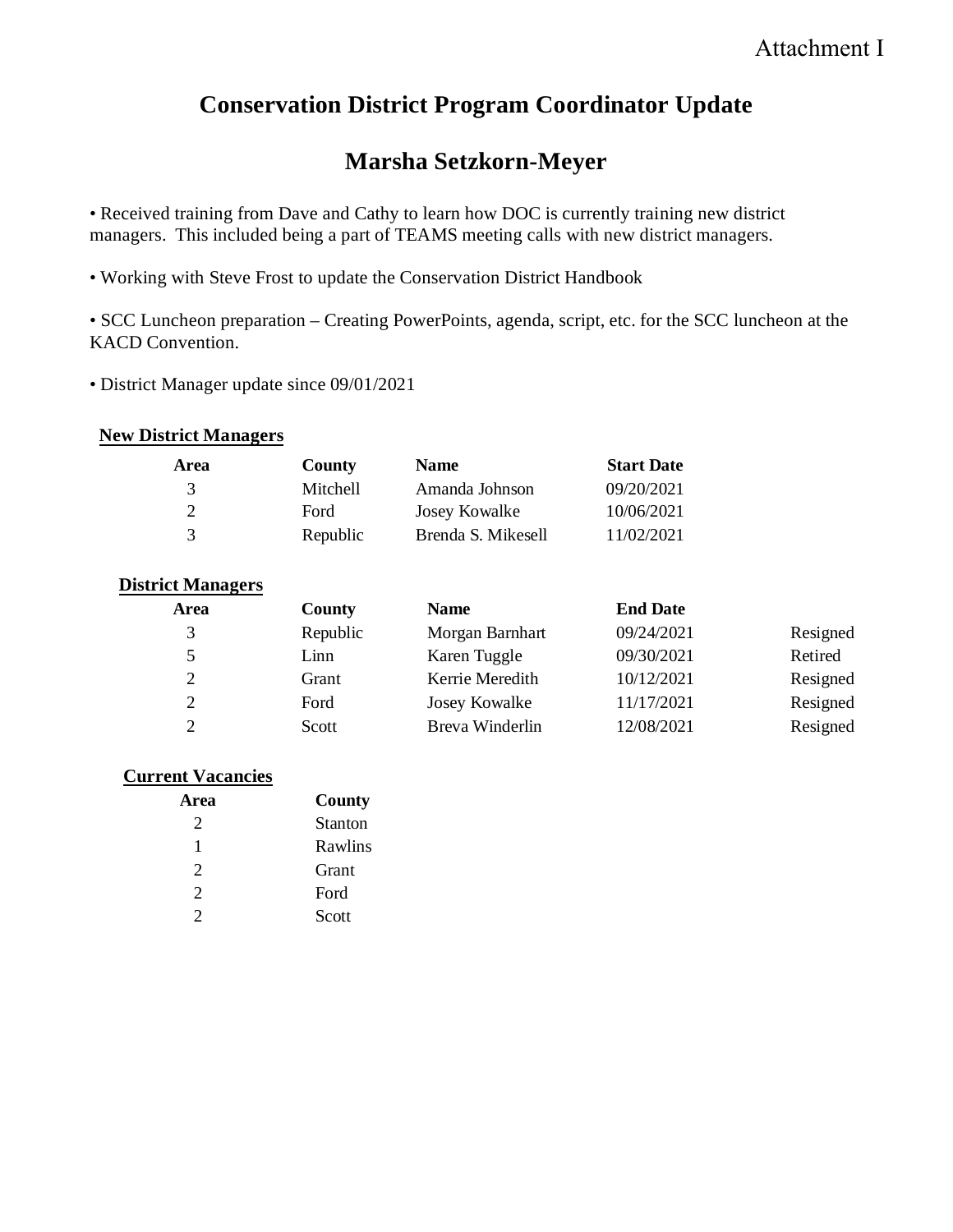# **Conservation District Program Coordinator Update**

# **Marsha Setzkorn-Meyer**

• Received training from Dave and Cathy to learn how DOC is currently training new district managers. This included being a part of TEAMS meeting calls with new district managers.

• Working with Steve Frost to update the Conservation District Handbook

• SCC Luncheon preparation – Creating PowerPoints, agenda, script, etc. for the SCC luncheon at the KACD Convention.

• District Manager update since 09/01/2021

### **New District Managers**

| Area | County   | <b>Name</b>        | <b>Start Date</b> |
|------|----------|--------------------|-------------------|
| -3   | Mitchell | Amanda Johnson     | 09/20/2021        |
|      | Ford     | Josey Kowalke      | 10/06/2021        |
| -3   | Republic | Brenda S. Mikesell | 11/02/2021        |

### **District Managers**

| Area          | <b>County</b> | <b>Name</b>     | <b>End Date</b> |          |
|---------------|---------------|-----------------|-----------------|----------|
| 3             | Republic      | Morgan Barnhart | 09/24/2021      | Resigned |
| 5.            | Linn          | Karen Tuggle    | 09/30/2021      | Retired  |
| $\mathcal{D}$ | Grant         | Kerrie Meredith | 10/12/2021      | Resigned |
|               | Ford          | Josey Kowalke   | 11/17/2021      | Resigned |
| $\mathcal{D}$ | Scott         | Breva Winderlin | 12/08/2021      | Resigned |

### **Current Vacancies**

| Area                  | County         |
|-----------------------|----------------|
| $\mathcal{D}_{\cdot}$ | <b>Stanton</b> |
| L                     | Rawlins        |
| $\mathcal{D}_{\cdot}$ | Grant          |
| $\mathcal{D}_{\cdot}$ | Ford           |
| っ                     | Scott          |